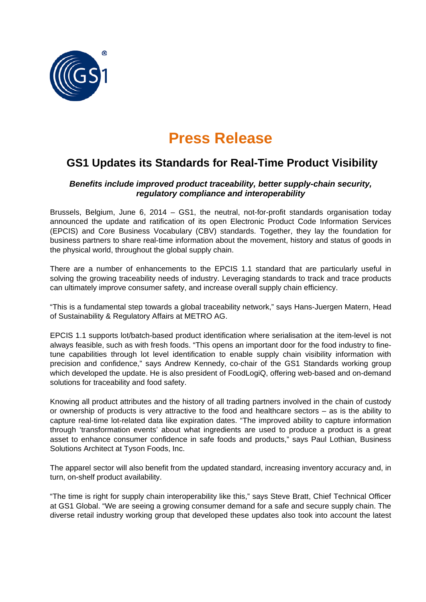

# **Press Release**

# **GS1 Updates its Standards for Real-Time Product Visibility**

## *Benefits include improved product traceability, better supply-chain security, regulatory compliance and interoperability*

Brussels, Belgium, June 6, 2014 – GS1, the neutral, not-for-profit standards organisation today announced the update and ratification of its open Electronic Product Code Information Services (EPCIS) and Core Business Vocabulary (CBV) standards. Together, they lay the foundation for business partners to share real-time information about the movement, history and status of goods in the physical world, throughout the global supply chain.

There are a number of enhancements to the EPCIS 1.1 standard that are particularly useful in solving the growing traceability needs of industry. Leveraging standards to track and trace products can ultimately improve consumer safety, and increase overall supply chain efficiency.

"This is a fundamental step towards a global traceability network," says Hans-Juergen Matern, Head of Sustainability & Regulatory Affairs at METRO AG.

EPCIS 1.1 supports lot/batch-based product identification where serialisation at the item-level is not always feasible, such as with fresh foods. "This opens an important door for the food industry to finetune capabilities through lot level identification to enable supply chain visibility information with precision and confidence," says Andrew Kennedy, co-chair of the GS1 Standards working group which developed the update. He is also president of FoodLogiQ, offering web-based and on-demand solutions for traceability and food safety.

Knowing all product attributes and the history of all trading partners involved in the chain of custody or ownership of products is very attractive to the food and healthcare sectors – as is the ability to capture real-time lot-related data like expiration dates. "The improved ability to capture information through 'transformation events' about what ingredients are used to produce a product is a great asset to enhance consumer confidence in safe foods and products," says Paul Lothian, Business Solutions Architect at Tyson Foods, Inc.

The apparel sector will also benefit from the updated standard, increasing inventory accuracy and, in turn, on-shelf product availability.

"The time is right for supply chain interoperability like this," says Steve Bratt, Chief Technical Officer at GS1 Global. "We are seeing a growing consumer demand for a safe and secure supply chain. The diverse retail industry working group that developed these updates also took into account the latest